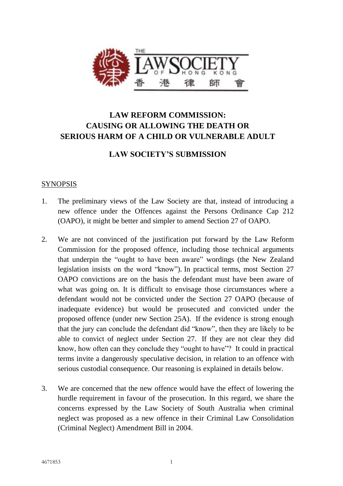

# **LAW REFORM COMMISSION: CAUSING OR ALLOWING THE DEATH OR SERIOUS HARM OF A CHILD OR VULNERABLE ADULT**

## **LAW SOCIETY'S SUBMISSION**

## SYNOPSIS

- 1. The preliminary views of the Law Society are that, instead of introducing a new offence under the Offences against the Persons Ordinance Cap 212 (OAPO), it might be better and simpler to amend Section 27 of OAPO.
- 2. We are not convinced of the justification put forward by the Law Reform Commission for the proposed offence, including those technical arguments that underpin the "ought to have been aware" wordings (the New Zealand legislation insists on the word "know"). In practical terms, most Section 27 OAPO convictions are on the basis the defendant must have been aware of what was going on. It is difficult to envisage those circumstances where a defendant would not be convicted under the Section 27 OAPO (because of inadequate evidence) but would be prosecuted and convicted under the proposed offence (under new Section 25A). If the evidence is strong enough that the jury can conclude the defendant did "know", then they are likely to be able to convict of neglect under Section 27. If they are not clear they did know, how often can they conclude they "ought to have"? It could in practical terms invite a dangerously speculative decision, in relation to an offence with serious custodial consequence. Our reasoning is explained in details below.
- 3. We are concerned that the new offence would have the effect of lowering the hurdle requirement in favour of the prosecution. In this regard, we share the concerns expressed by the Law Society of South Australia when criminal neglect was proposed as a new offence in their Criminal Law Consolidation (Criminal Neglect) Amendment Bill in 2004.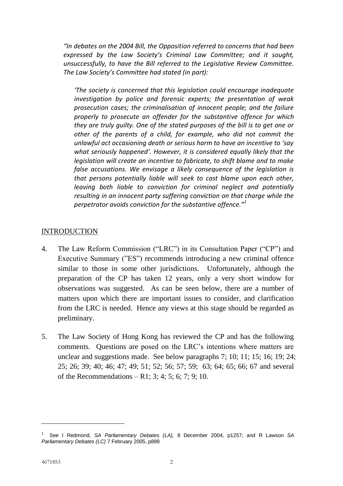*"In debates on the 2004 Bill, the Opposition referred to concerns that had been expressed by the Law Society's Criminal Law Committee; and it sought, unsuccessfully, to have the Bill referred to the Legislative Review Committee. The Law Society's Committee had stated (in part):* 

*'The society is concerned that this legislation could encourage inadequate investigation by police and forensic experts; the presentation of weak prosecution cases; the criminalisation of innocent people; and the failure properly to prosecute an offender for the substantive offence for which they are truly guilty. One of the stated purposes of the bill is to get one or other of the parents of a child, for example, who did not commit the unlawful act occasioning death or serious harm to have an incentive to 'say what seriously happened'. However, it is considered equally likely that the legislation will create an incentive to fabricate, to shift blame and to make false accusations. We envisage a likely consequence of the legislation is that persons potentially liable will seek to cast blame upon each other, leaving both liable to conviction for criminal neglect and potentially resulting in an innocent party suffering conviction on that charge while the perpetrator avoids conviction for the substantive offence."<sup>1</sup>*

### **INTRODUCTION**

- 4. The Law Reform Commission ("LRC") in its Consultation Paper ("CP") and Executive Summary ("ES") recommends introducing a new criminal offence similar to those in some other jurisdictions. Unfortunately, although the preparation of the CP has taken 12 years, only a very short window for observations was suggested. As can be seen below, there are a number of matters upon which there are important issues to consider, and clarification from the LRC is needed. Hence any views at this stage should be regarded as preliminary.
- 5. The Law Society of Hong Kong has reviewed the CP and has the following comments. Questions are posed on the LRC's intentions where matters are unclear and suggestions made. See below paragraphs 7; 10; 11; 15; 16; 19; 24; 25; 26; 39; 40; 46; 47; 49; 51; 52; 56; 57; 59; 63; 64; 65; 66; 67 and several of the Recommendations – R1; 3; 4; 5; 6; 7; 9; 10.

-

<sup>1</sup> See I Redmond, *SA Parliamentary Debates (LA),* 8 December 2004, p1257; and R Lawson *SA Parliamentary Debates (LC)* 7 February 2005, p889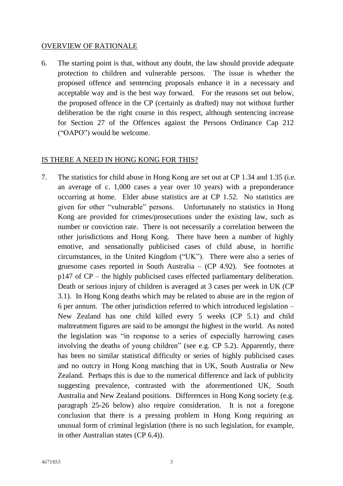### OVERVIEW OF RATIONALE

6. The starting point is that, without any doubt, the law should provide adequate protection to children and vulnerable persons. The issue is whether the proposed offence and sentencing proposals enhance it in a necessary and acceptable way and is the best way forward. For the reasons set out below, the proposed offence in the CP (certainly as drafted) may not without further deliberation be the right course in this respect, although sentencing increase for Section 27 of the Offences against the Persons Ordinance Cap 212 ("OAPO") would be welcome.

### IS THERE A NEED IN HONG KONG FOR THIS?

7. The statistics for child abuse in Hong Kong are set out at CP 1.34 and 1.35 (i.e. an average of c. 1,000 cases a year over 10 years) with a preponderance occurring at home. Elder abuse statistics are at CP 1.52. No statistics are given for other "vulnerable" persons. Unfortunately no statistics in Hong Kong are provided for crimes/prosecutions under the existing law, such as number or conviction rate. There is not necessarily a correlation between the other jurisdictions and Hong Kong. There have been a number of highly emotive, and sensationally publicised cases of child abuse, in horrific circumstances, in the United Kingdom ("UK"). There were also a series of gruesome cases reported in South Australia – (CP 4.92). See footnotes at p147 of CP – the highly publicised cases effected parliamentary deliberation. Death or serious injury of children is averaged at 3 cases per week in UK (CP 3.1). In Hong Kong deaths which may be related to abuse are in the region of 6 per annum. The other jurisdiction referred to which introduced legislation – New Zealand has one child killed every 5 weeks (CP 5.1) and child maltreatment figures are said to be amongst the highest in the world. As noted the legislation was "in response to a series of especially harrowing cases involving the deaths of young children" (see e.g. CP 5.2). Apparently, there has been no similar statistical difficulty or series of highly publicised cases and no outcry in Hong Kong matching that in UK, South Australia or New Zealand. Perhaps this is due to the numerical difference and lack of publicity suggesting prevalence, contrasted with the aforementioned UK, South Australia and New Zealand positions. Differences in Hong Kong society (e.g. paragraph 25-26 below) also require consideration. It is not a foregone conclusion that there is a pressing problem in Hong Kong requiring an unusual form of criminal legislation (there is no such legislation, for example, in other Australian states (CP 6.4)).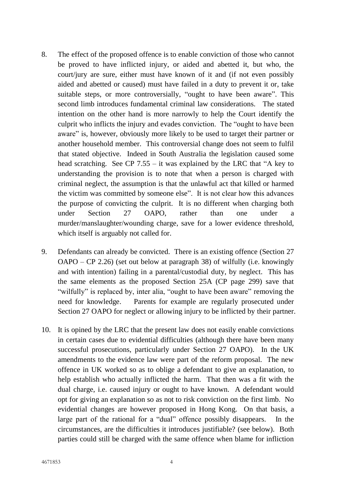- 8. The effect of the proposed offence is to enable conviction of those who cannot be proved to have inflicted injury, or aided and abetted it, but who, the court/jury are sure, either must have known of it and (if not even possibly aided and abetted or caused) must have failed in a duty to prevent it or, take suitable steps, or more controversially, "ought to have been aware". This second limb introduces fundamental criminal law considerations. The stated intention on the other hand is more narrowly to help the Court identify the culprit who inflicts the injury and evades conviction. The "ought to have been aware" is, however, obviously more likely to be used to target their partner or another household member. This controversial change does not seem to fulfil that stated objective. Indeed in South Australia the legislation caused some head scratching. See CP 7.55 – it was explained by the LRC that "A key to understanding the provision is to note that when a person is charged with criminal neglect, the assumption is that the unlawful act that killed or harmed the victim was committed by someone else". It is not clear how this advances the purpose of convicting the culprit. It is no different when charging both under Section 27 OAPO, rather than one under a murder/manslaughter/wounding charge, save for a lower evidence threshold, which itself is arguably not called for.
- 9. Defendants can already be convicted. There is an existing offence (Section 27 OAPO – CP 2.26) (set out below at paragraph 38) of wilfully (i.e. knowingly and with intention) failing in a parental/custodial duty, by neglect. This has the same elements as the proposed Section 25A (CP page 299) save that "wilfully" is replaced by, inter alia, "ought to have been aware" removing the need for knowledge. Parents for example are regularly prosecuted under Section 27 OAPO for neglect or allowing injury to be inflicted by their partner.
- 10. It is opined by the LRC that the present law does not easily enable convictions in certain cases due to evidential difficulties (although there have been many successful prosecutions, particularly under Section 27 OAPO). In the UK amendments to the evidence law were part of the reform proposal. The new offence in UK worked so as to oblige a defendant to give an explanation, to help establish who actually inflicted the harm. That then was a fit with the dual charge, i.e. caused injury or ought to have known. A defendant would opt for giving an explanation so as not to risk conviction on the first limb. No evidential changes are however proposed in Hong Kong. On that basis, a large part of the rational for a "dual" offence possibly disappears. In the circumstances, are the difficulties it introduces justifiable? (see below). Both parties could still be charged with the same offence when blame for infliction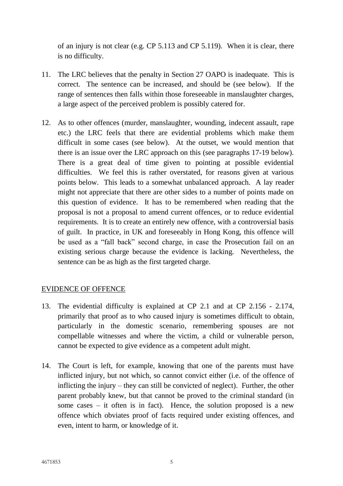of an injury is not clear (e.g. CP 5.113 and CP 5.119). When it is clear, there is no difficulty.

- 11. The LRC believes that the penalty in Section 27 OAPO is inadequate. This is correct. The sentence can be increased, and should be (see below). If the range of sentences then falls within those foreseeable in manslaughter charges, a large aspect of the perceived problem is possibly catered for.
- 12. As to other offences (murder, manslaughter, wounding, indecent assault, rape etc.) the LRC feels that there are evidential problems which make them difficult in some cases (see below). At the outset, we would mention that there is an issue over the LRC approach on this (see paragraphs 17-19 below). There is a great deal of time given to pointing at possible evidential difficulties. We feel this is rather overstated, for reasons given at various points below. This leads to a somewhat unbalanced approach. A lay reader might not appreciate that there are other sides to a number of points made on this question of evidence. It has to be remembered when reading that the proposal is not a proposal to amend current offences, or to reduce evidential requirements. It is to create an entirely new offence, with a controversial basis of guilt. In practice, in UK and foreseeably in Hong Kong, this offence will be used as a "fall back" second charge, in case the Prosecution fail on an existing serious charge because the evidence is lacking. Nevertheless, the sentence can be as high as the first targeted charge.

## EVIDENCE OF OFFENCE

- 13. The evidential difficulty is explained at CP 2.1 and at CP 2.156 2.174, primarily that proof as to who caused injury is sometimes difficult to obtain, particularly in the domestic scenario, remembering spouses are not compellable witnesses and where the victim, a child or vulnerable person, cannot be expected to give evidence as a competent adult might.
- 14. The Court is left, for example, knowing that one of the parents must have inflicted injury, but not which, so cannot convict either (i.e. of the offence of inflicting the injury – they can still be convicted of neglect). Further, the other parent probably knew, but that cannot be proved to the criminal standard (in some cases – it often is in fact). Hence, the solution proposed is a new offence which obviates proof of facts required under existing offences, and even, intent to harm, or knowledge of it.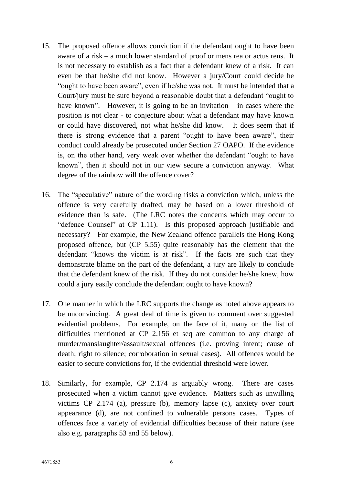- 15. The proposed offence allows conviction if the defendant ought to have been aware of a risk – a much lower standard of proof or mens rea or actus reus. It is not necessary to establish as a fact that a defendant knew of a risk. It can even be that he/she did not know. However a jury/Court could decide he "ought to have been aware", even if he/she was not. It must be intended that a Court/jury must be sure beyond a reasonable doubt that a defendant "ought to have known". However, it is going to be an invitation  $-$  in cases where the position is not clear - to conjecture about what a defendant may have known or could have discovered, not what he/she did know. It does seem that if there is strong evidence that a parent "ought to have been aware", their conduct could already be prosecuted under Section 27 OAPO. If the evidence is, on the other hand, very weak over whether the defendant "ought to have known", then it should not in our view secure a conviction anyway. What degree of the rainbow will the offence cover?
- 16. The "speculative" nature of the wording risks a conviction which, unless the offence is very carefully drafted, may be based on a lower threshold of evidence than is safe. (The LRC notes the concerns which may occur to "defence Counsel" at CP 1.11). Is this proposed approach justifiable and necessary? For example, the New Zealand offence parallels the Hong Kong proposed offence, but (CP 5.55) quite reasonably has the element that the defendant "knows the victim is at risk". If the facts are such that they demonstrate blame on the part of the defendant, a jury are likely to conclude that the defendant knew of the risk. If they do not consider he/she knew, how could a jury easily conclude the defendant ought to have known?
- 17. One manner in which the LRC supports the change as noted above appears to be unconvincing. A great deal of time is given to comment over suggested evidential problems. For example, on the face of it, many on the list of difficulties mentioned at CP 2.156 et seq are common to any charge of murder/manslaughter/assault/sexual offences (i.e. proving intent; cause of death; right to silence; corroboration in sexual cases). All offences would be easier to secure convictions for, if the evidential threshold were lower.
- 18. Similarly, for example, CP 2.174 is arguably wrong. There are cases prosecuted when a victim cannot give evidence. Matters such as unwilling victims CP 2.174 (a), pressure (b), memory lapse (c), anxiety over court appearance (d), are not confined to vulnerable persons cases. Types of offences face a variety of evidential difficulties because of their nature (see also e.g. paragraphs 53 and 55 below).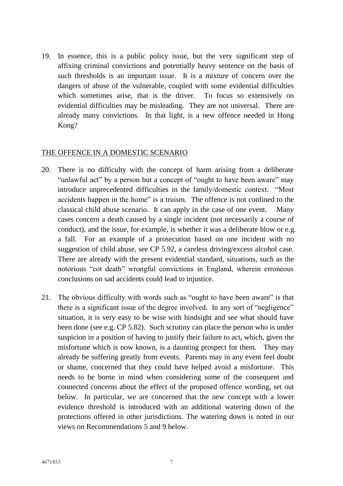19. In essence, this is a public policy issue, but the very significant step of affixing criminal convictions and potentially heavy sentence on the basis of such thresholds is an important issue. It is a mixture of concern over the dangers of abuse of the vulnerable, coupled with some evidential difficulties which sometimes arise, that is the driver. To focus so extensively on evidential difficulties may be misleading. They are not universal. There are already many convictions. In that light, is a new offence needed in Hong Kong?

#### THE OFFENCE IN A DOMESTIC SCENARIO

- 20. There is no difficulty with the concept of harm arising from a deliberate "unlawful act" by a person but a concept of "ought to have been aware" may introduce unprecedented difficulties in the family/domestic context. "Most accidents happen in the home" is a truism. The offence is not confined to the classical child abuse scenario. It can apply in the case of one event. Many cases concern a death caused by a single incident (not necessarily a course of conduct), and the issue, for example, is whether it was a deliberate blow or e.g. a fall. For an example of a prosecution based on one incident with no suggestion of child abuse, see CP 5.92, a careless driving/excess alcohol case. There are already with the present evidential standard, situations, such as the notorious "cot death" wrongful convictions in England, wherein erroneous conclusions on sad accidents could lead to injustice.
- 21. The obvious difficulty with words such as "ought to have been aware" is that there is a significant issue of the degree involved. In any sort of "negligence" situation, it is very easy to be wise with hindsight and see what should have been done (see e.g. CP 5.82). Such scrutiny can place the person who is under suspicion in a position of having to justify their failure to act, which, given the misfortune which is now known, is a daunting prospect for them. They may already be suffering greatly from events. Parents may in any event feel doubt or shame, concerned that they could have helped avoid a misfortune. This needs to be borne in mind when considering some of the consequent and connected concerns about the effect of the proposed offence wording, set out below. In particular, we are concerned that the new concept with a lower evidence threshold is introduced with an additional watering down of the protections offered in other jurisdictions. The watering down is noted in our views on Recommendations 5 and 9 below.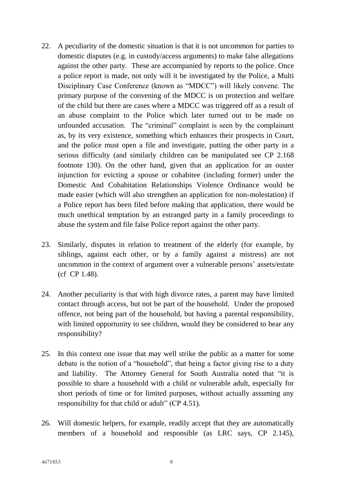- 22. A peculiarity of the domestic situation is that it is not uncommon for parties to domestic disputes (e.g. in custody/access arguments) to make false allegations against the other party. These are accompanied by reports to the police. Once a police report is made, not only will it be investigated by the Police, a Multi Disciplinary Case Conference (known as "MDCC") will likely convene. The primary purpose of the convening of the MDCC is on protection and welfare of the child but there are cases where a MDCC was triggered off as a result of an abuse complaint to the Police which later turned out to be made on unfounded accusation. The "criminal" complaint is seen by the complainant as, by its very existence, something which enhances their prospects in Court, and the police must open a file and investigate, putting the other party in a serious difficulty (and similarly children can be manipulated see CP 2.168 footnote 130). On the other hand, given that an application for an ouster injunction for evicting a spouse or cohabitee (including former) under the Domestic And Cohabitation Relationships Violence Ordinance would be made easier (which will also strengthen an application for non-molestation) if a Police report has been filed before making that application, there would be much unethical temptation by an estranged party in a family proceedings to abuse the system and file false Police report against the other party.
- 23. Similarly, disputes in relation to treatment of the elderly (for example, by siblings, against each other, or by a family against a mistress) are not uncommon in the context of argument over a vulnerable persons' assets/estate (cf CP 1.48).
- 24. Another peculiarity is that with high divorce rates, a parent may have limited contact through access, but not be part of the household. Under the proposed offence, not being part of the household, but having a parental responsibility, with limited opportunity to see children, would they be considered to bear any responsibility?
- 25. In this context one issue that may well strike the public as a matter for some debate is the notion of a "household", that being a factor giving rise to a duty and liability. The Attorney General for South Australia noted that "it is possible to share a household with a child or vulnerable adult, especially for short periods of time or for limited purposes, without actually assuming any responsibility for that child or adult" (CP 4.51).
- 26. Will domestic helpers, for example, readily accept that they are automatically members of a household and responsible (as LRC says, CP 2.145),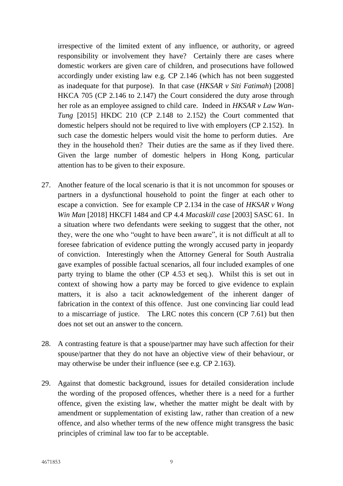irrespective of the limited extent of any influence, or authority, or agreed responsibility or involvement they have? Certainly there are cases where domestic workers are given care of children, and prosecutions have followed accordingly under existing law e.g. CP 2.146 (which has not been suggested as inadequate for that purpose). In that case (*HKSAR v Siti Fatimah*) [2008] HKCA 705 (CP 2.146 to 2.147) the Court considered the duty arose through her role as an employee assigned to child care. Indeed in *HKSAR v Law Wan-Tung* [2015] HKDC 210 (CP 2.148 to 2.152) the Court commented that domestic helpers should not be required to live with employers (CP 2.152). In such case the domestic helpers would visit the home to perform duties. Are they in the household then? Their duties are the same as if they lived there. Given the large number of domestic helpers in Hong Kong, particular attention has to be given to their exposure.

- 27. Another feature of the local scenario is that it is not uncommon for spouses or partners in a dysfunctional household to point the finger at each other to escape a conviction. See for example CP 2.134 in the case of *HKSAR v Wong Win Man* [2018] HKCFI 1484 and CP 4.4 *Macaskill case* [2003] SASC 61. In a situation where two defendants were seeking to suggest that the other, not they, were the one who "ought to have been aware", it is not difficult at all to foresee fabrication of evidence putting the wrongly accused party in jeopardy of conviction. Interestingly when the Attorney General for South Australia gave examples of possible factual scenarios, all four included examples of one party trying to blame the other (CP 4.53 et seq.). Whilst this is set out in context of showing how a party may be forced to give evidence to explain matters, it is also a tacit acknowledgement of the inherent danger of fabrication in the context of this offence. Just one convincing liar could lead to a miscarriage of justice. The LRC notes this concern (CP 7.61) but then does not set out an answer to the concern.
- 28. A contrasting feature is that a spouse/partner may have such affection for their spouse/partner that they do not have an objective view of their behaviour, or may otherwise be under their influence (see e.g. CP 2.163).
- 29. Against that domestic background, issues for detailed consideration include the wording of the proposed offences, whether there is a need for a further offence, given the existing law, whether the matter might be dealt with by amendment or supplementation of existing law, rather than creation of a new offence, and also whether terms of the new offence might transgress the basic principles of criminal law too far to be acceptable.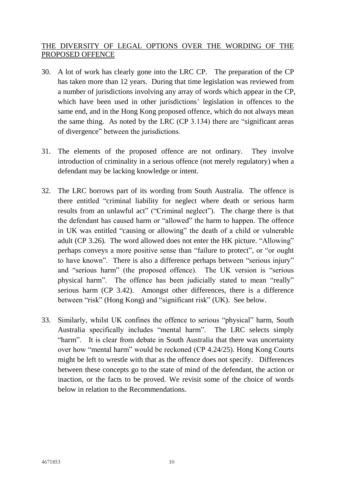## THE DIVERSITY OF LEGAL OPTIONS OVER THE WORDING OF THE PROPOSED OFFENCE

- 30. A lot of work has clearly gone into the LRC CP. The preparation of the CP has taken more than 12 years. During that time legislation was reviewed from a number of jurisdictions involving any array of words which appear in the CP, which have been used in other jurisdictions' legislation in offences to the same end, and in the Hong Kong proposed offence, which do not always mean the same thing. As noted by the LRC (CP 3.134) there are "significant areas of divergence" between the jurisdictions.
- 31. The elements of the proposed offence are not ordinary. They involve introduction of criminality in a serious offence (not merely regulatory) when a defendant may be lacking knowledge or intent.
- 32. The LRC borrows part of its wording from South Australia. The offence is there entitled "criminal liability for neglect where death or serious harm results from an unlawful act" ("Criminal neglect"). The charge there is that the defendant has caused harm or "allowed" the harm to happen. The offence in UK was entitled "causing or allowing" the death of a child or vulnerable adult (CP 3.26). The word allowed does not enter the HK picture. "Allowing" perhaps conveys a more positive sense than "failure to protect", or "or ought to have known". There is also a difference perhaps between "serious injury" and "serious harm" (the proposed offence). The UK version is "serious physical harm". The offence has been judicially stated to mean "really" serious harm (CP 3.42). Amongst other differences, there is a difference between "risk" (Hong Kong) and "significant risk" (UK). See below.
- 33. Similarly, whilst UK confines the offence to serious "physical" harm, South Australia specifically includes "mental harm". The LRC selects simply "harm". It is clear from debate in South Australia that there was uncertainty over how "mental harm" would be reckoned (CP 4.24/25). Hong Kong Courts might be left to wrestle with that as the offence does not specify. Differences between these concepts go to the state of mind of the defendant, the action or inaction, or the facts to be proved. We revisit some of the choice of words below in relation to the Recommendations.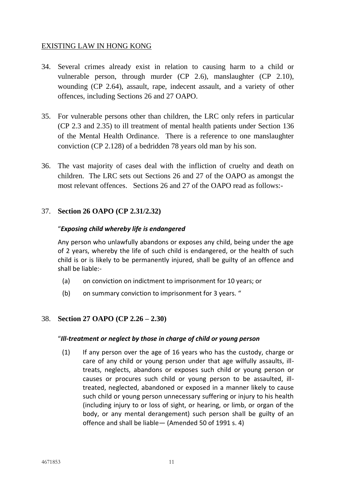## EXISTING LAW IN HONG KONG

- 34. Several crimes already exist in relation to causing harm to a child or vulnerable person, through murder (CP 2.6), manslaughter (CP 2.10), wounding (CP 2.64), assault, rape, indecent assault, and a variety of other offences, including Sections 26 and 27 OAPO.
- 35. For vulnerable persons other than children, the LRC only refers in particular (CP 2.3 and 2.35) to ill treatment of mental health patients under Section 136 of the Mental Health Ordinance. There is a reference to one manslaughter conviction (CP 2.128) of a bedridden 78 years old man by his son.
- 36. The vast majority of cases deal with the infliction of cruelty and death on children. The LRC sets out Sections 26 and 27 of the OAPO as amongst the most relevant offences. Sections 26 and 27 of the OAPO read as follows:-

### 37. **Section 26 OAPO (CP 2.31/2.32)**

#### "*Exposing child whereby life is endangered*

Any person who unlawfully abandons or exposes any child, being under the age of 2 years, whereby the life of such child is endangered, or the health of such child is or is likely to be permanently injured, shall be guilty of an offence and shall be liable:-

- (a) on conviction on indictment to imprisonment for 10 years; or
- (b) on summary conviction to imprisonment for 3 years. "

### 38. **Section 27 OAPO (CP 2.26 – 2.30)**

#### "*Ill-treatment or neglect by those in charge of child or young person*

(1) If any person over the age of 16 years who has the custody, charge or care of any child or young person under that age wilfully assaults, illtreats, neglects, abandons or exposes such child or young person or causes or procures such child or young person to be assaulted, illtreated, neglected, abandoned or exposed in a manner likely to cause such child or young person unnecessary suffering or injury to his health (including injury to or loss of sight, or hearing, or limb, or organ of the body, or any mental derangement) such person shall be guilty of an offence and shall be liable— (Amended 50 of 1991 s. 4)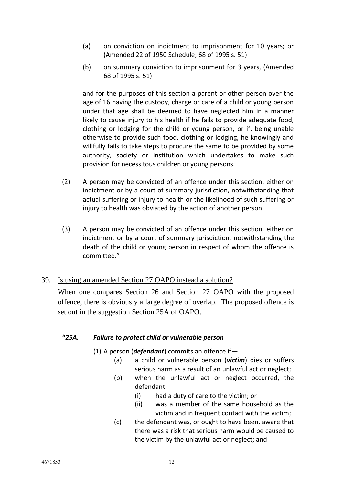- (a) on conviction on indictment to imprisonment for 10 years; or (Amended 22 of 1950 Schedule; 68 of 1995 s. 51)
- (b) on summary conviction to imprisonment for 3 years, (Amended 68 of 1995 s. 51)

and for the purposes of this section a parent or other person over the age of 16 having the custody, charge or care of a child or young person under that age shall be deemed to have neglected him in a manner likely to cause injury to his health if he fails to provide adequate food, clothing or lodging for the child or young person, or if, being unable otherwise to provide such food, clothing or lodging, he knowingly and willfully fails to take steps to procure the same to be provided by some authority, society or institution which undertakes to make such provision for necessitous children or young persons.

- (2) A person may be convicted of an offence under this section, either on indictment or by a court of summary jurisdiction, notwithstanding that actual suffering or injury to health or the likelihood of such suffering or injury to health was obviated by the action of another person.
- (3) A person may be convicted of an offence under this section, either on indictment or by a court of summary jurisdiction, notwithstanding the death of the child or young person in respect of whom the offence is committed."

## 39. Is using an amended Section 27 OAPO instead a solution?

When one compares Section 26 and Section 27 OAPO with the proposed offence, there is obviously a large degree of overlap. The proposed offence is set out in the suggestion Section 25A of OAPO.

### **"***25A. Failure to protect child or vulnerable person*

- (1) A person (*defendant*) commits an offence if—
	- (a) a child or vulnerable person (*victim*) dies or suffers serious harm as a result of an unlawful act or neglect;
	- (b) when the unlawful act or neglect occurred, the defendant—
		- (i) had a duty of care to the victim; or
		- (ii) was a member of the same household as the victim and in frequent contact with the victim;
	- (c) the defendant was, or ought to have been, aware that there was a risk that serious harm would be caused to the victim by the unlawful act or neglect; and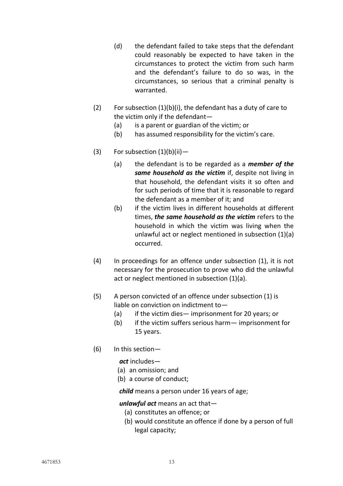- (d) the defendant failed to take steps that the defendant could reasonably be expected to have taken in the circumstances to protect the victim from such harm and the defendant's failure to do so was, in the circumstances, so serious that a criminal penalty is warranted.
- (2) For subsection  $(1)(b)(i)$ , the defendant has a duty of care to the victim only if the defendant—
	- (a) is a parent or guardian of the victim; or
	- (b) has assumed responsibility for the victim's care.
- (3) For subsection  $(1)(b)(ii)$ 
	- (a) the defendant is to be regarded as a *member of the same household as the victim* if, despite not living in that household, the defendant visits it so often and for such periods of time that it is reasonable to regard the defendant as a member of it; and
	- (b) if the victim lives in different households at different times, *the same household as the victim* refers to the household in which the victim was living when the unlawful act or neglect mentioned in subsection (1)(a) occurred.
- (4) In proceedings for an offence under subsection (1), it is not necessary for the prosecution to prove who did the unlawful act or neglect mentioned in subsection (1)(a).
- (5) A person convicted of an offence under subsection (1) is liable on conviction on indictment to—
	- (a) if the victim dies— imprisonment for 20 years; or
	- (b) if the victim suffers serious harm— imprisonment for 15 years.
- (6) In this section—

*act* includes—

- (a) an omission; and
- (b) a course of conduct;

*child* means a person under 16 years of age;

#### *unlawful act* means an act that—

- (a) constitutes an offence; or
- (b) would constitute an offence if done by a person of full legal capacity;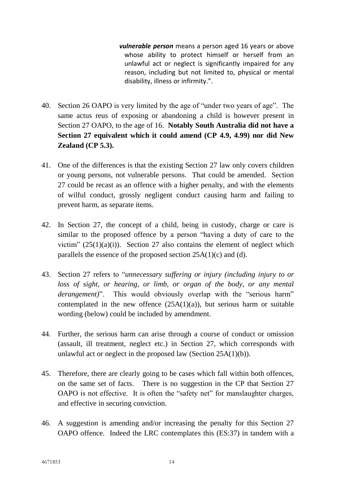*vulnerable person* means a person aged 16 years or above whose ability to protect himself or herself from an unlawful act or neglect is significantly impaired for any reason, including but not limited to, physical or mental disability, illness or infirmity.".

- 40. Section 26 OAPO is very limited by the age of "under two years of age". The same actus reus of exposing or abandoning a child is however present in Section 27 OAPO, to the age of 16. **Notably South Australia did not have a Section 27 equivalent which it could amend (CP 4.9, 4.99) nor did New Zealand (CP 5.3).**
- 41. One of the differences is that the existing Section 27 law only covers children or young persons, not vulnerable persons. That could be amended. Section 27 could be recast as an offence with a higher penalty, and with the elements of wilful conduct, grossly negligent conduct causing harm and failing to prevent harm, as separate items.
- 42. In Section 27, the concept of a child, being in custody, charge or care is similar to the proposed offence by a person "having a duty of care to the victim"  $(25(1)(a)(i))$ . Section 27 also contains the element of neglect which parallels the essence of the proposed section 25A(1)(c) and (d).
- 43. Section 27 refers to "*unnecessary suffering or injury (including injury to or loss of sight, or hearing, or limb, or organ of the body, or any mental derangement*)". This would obviously overlap with the "serious harm" contemplated in the new offence  $(25A(1)(a))$ , but serious harm or suitable wording (below) could be included by amendment.
- 44. Further, the serious harm can arise through a course of conduct or omission (assault, ill treatment, neglect etc.) in Section 27, which corresponds with unlawful act or neglect in the proposed law (Section 25A(1)(b)).
- 45. Therefore, there are clearly going to be cases which fall within both offences, on the same set of facts. There is no suggestion in the CP that Section 27 OAPO is not effective. It is often the "safety net" for manslaughter charges, and effective in securing conviction.
- 46. A suggestion is amending and/or increasing the penalty for this Section 27 OAPO offence. Indeed the LRC contemplates this (ES:37) in tandem with a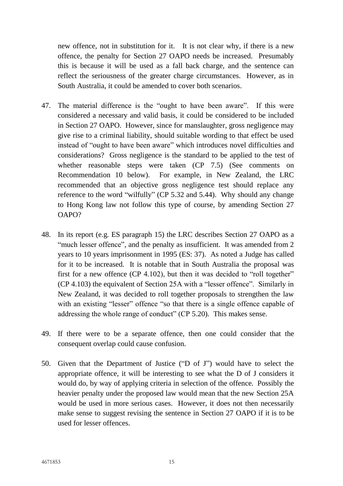new offence, not in substitution for it. It is not clear why, if there is a new offence, the penalty for Section 27 OAPO needs be increased. Presumably this is because it will be used as a fall back charge, and the sentence can reflect the seriousness of the greater charge circumstances. However, as in South Australia, it could be amended to cover both scenarios.

- 47. The material difference is the "ought to have been aware". If this were considered a necessary and valid basis, it could be considered to be included in Section 27 OAPO. However, since for manslaughter, gross negligence may give rise to a criminal liability, should suitable wording to that effect be used instead of "ought to have been aware" which introduces novel difficulties and considerations? Gross negligence is the standard to be applied to the test of whether reasonable steps were taken (CP 7.5) (See comments on Recommendation 10 below). For example, in New Zealand, the LRC recommended that an objective gross negligence test should replace any reference to the word "wilfully" (CP 5.32 and 5.44). Why should any change to Hong Kong law not follow this type of course, by amending Section 27 OAPO?
- 48. In its report (e.g. ES paragraph 15) the LRC describes Section 27 OAPO as a "much lesser offence", and the penalty as insufficient. It was amended from 2 years to 10 years imprisonment in 1995 (ES: 37). As noted a Judge has called for it to be increased. It is notable that in South Australia the proposal was first for a new offence (CP 4.102), but then it was decided to "roll together" (CP 4.103) the equivalent of Section 25A with a "lesser offence". Similarly in New Zealand, it was decided to roll together proposals to strengthen the law with an existing "lesser" offence "so that there is a single offence capable of addressing the whole range of conduct" (CP 5.20). This makes sense.
- 49. If there were to be a separate offence, then one could consider that the consequent overlap could cause confusion.
- 50. Given that the Department of Justice ("D of J") would have to select the appropriate offence, it will be interesting to see what the D of J considers it would do, by way of applying criteria in selection of the offence. Possibly the heavier penalty under the proposed law would mean that the new Section 25A would be used in more serious cases. However, it does not then necessarily make sense to suggest revising the sentence in Section 27 OAPO if it is to be used for lesser offences.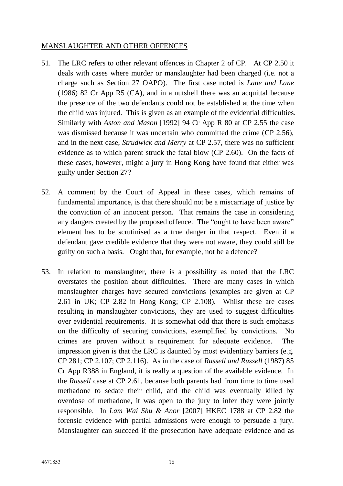## MANSLAUGHTER AND OTHER OFFENCES

- 51. The LRC refers to other relevant offences in Chapter 2 of CP. At CP 2.50 it deals with cases where murder or manslaughter had been charged (i.e. not a charge such as Section 27 OAPO). The first case noted is *Lane and Lane* (1986) 82 Cr App R5 (CA), and in a nutshell there was an acquittal because the presence of the two defendants could not be established at the time when the child was injured. This is given as an example of the evidential difficulties. Similarly with *Aston and Mason* [1992] 94 Cr App R 80 at CP 2.55 the case was dismissed because it was uncertain who committed the crime (CP 2.56), and in the next case, *Strudwick and Merry* at CP 2.57, there was no sufficient evidence as to which parent struck the fatal blow (CP 2.60). On the facts of these cases, however, might a jury in Hong Kong have found that either was guilty under Section 27?
- 52. A comment by the Court of Appeal in these cases, which remains of fundamental importance, is that there should not be a miscarriage of justice by the conviction of an innocent person. That remains the case in considering any dangers created by the proposed offence. The "ought to have been aware" element has to be scrutinised as a true danger in that respect. Even if a defendant gave credible evidence that they were not aware, they could still be guilty on such a basis. Ought that, for example, not be a defence?
- 53. In relation to manslaughter, there is a possibility as noted that the LRC overstates the position about difficulties. There are many cases in which manslaughter charges have secured convictions (examples are given at CP 2.61 in UK; CP 2.82 in Hong Kong; CP 2.108). Whilst these are cases resulting in manslaughter convictions, they are used to suggest difficulties over evidential requirements. It is somewhat odd that there is such emphasis on the difficulty of securing convictions, exemplified by convictions. No crimes are proven without a requirement for adequate evidence. The impression given is that the LRC is daunted by most evidentiary barriers (e.g. CP 281; CP 2.107; CP 2.116). As in the case of *Russell and Russell* (1987) 85 Cr App R388 in England, it is really a question of the available evidence. In the *Russell* case at CP 2.61, because both parents had from time to time used methadone to sedate their child, and the child was eventually killed by overdose of methadone, it was open to the jury to infer they were jointly responsible. In *Lam Wai Shu & Anor* [2007] HKEC 1788 at CP 2.82 the forensic evidence with partial admissions were enough to persuade a jury. Manslaughter can succeed if the prosecution have adequate evidence and as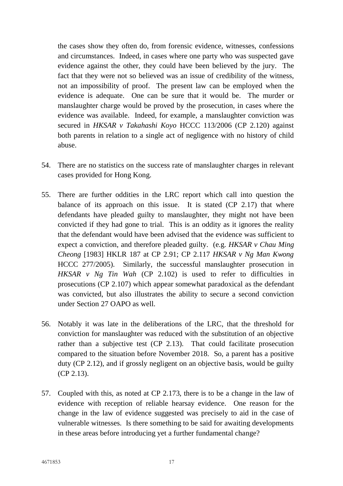the cases show they often do, from forensic evidence, witnesses, confessions and circumstances. Indeed, in cases where one party who was suspected gave evidence against the other, they could have been believed by the jury. The fact that they were not so believed was an issue of credibility of the witness, not an impossibility of proof. The present law can be employed when the evidence is adequate. One can be sure that it would be. The murder or manslaughter charge would be proved by the prosecution, in cases where the evidence was available. Indeed, for example, a manslaughter conviction was secured in *HKSAR v Takahashi Koyo* HCCC 113/2006 (CP 2.120) against both parents in relation to a single act of negligence with no history of child abuse.

- 54. There are no statistics on the success rate of manslaughter charges in relevant cases provided for Hong Kong.
- 55. There are further oddities in the LRC report which call into question the balance of its approach on this issue. It is stated (CP 2.17) that where defendants have pleaded guilty to manslaughter, they might not have been convicted if they had gone to trial. This is an oddity as it ignores the reality that the defendant would have been advised that the evidence was sufficient to expect a conviction, and therefore pleaded guilty. (e.g. *HKSAR v Chau Ming Cheong* [1983] HKLR 187 at CP 2.91; CP 2.117 *HKSAR v Ng Man Kwong* HCCC 277/2005). Similarly, the successful manslaughter prosecution in *HKSAR v Ng Tin Wah* (CP 2.102) is used to refer to difficulties in prosecutions (CP 2.107) which appear somewhat paradoxical as the defendant was convicted, but also illustrates the ability to secure a second conviction under Section 27 OAPO as well.
- 56. Notably it was late in the deliberations of the LRC, that the threshold for conviction for manslaughter was reduced with the substitution of an objective rather than a subjective test (CP 2.13). That could facilitate prosecution compared to the situation before November 2018. So, a parent has a positive duty (CP 2.12), and if grossly negligent on an objective basis, would be guilty (CP 2.13).
- 57. Coupled with this, as noted at CP 2.173, there is to be a change in the law of evidence with reception of reliable hearsay evidence. One reason for the change in the law of evidence suggested was precisely to aid in the case of vulnerable witnesses. Is there something to be said for awaiting developments in these areas before introducing yet a further fundamental change?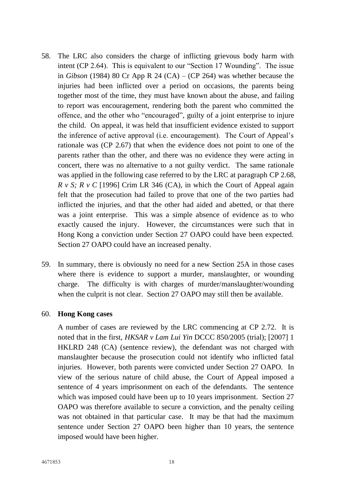- 58. The LRC also considers the charge of inflicting grievous body harm with intent (CP 2.64). This is equivalent to our "Section 17 Wounding". The issue in *Gibson* (1984) 80 Cr App R 24 (CA) – (CP 264) was whether because the injuries had been inflicted over a period on occasions, the parents being together most of the time, they must have known about the abuse, and failing to report was encouragement, rendering both the parent who committed the offence, and the other who "encouraged", guilty of a joint enterprise to injure the child. On appeal, it was held that insufficient evidence existed to support the inference of active approval (i.e. encouragement). The Court of Appeal's rationale was (CP 2.67) that when the evidence does not point to one of the parents rather than the other, and there was no evidence they were acting in concert, there was no alternative to a not guilty verdict. The same rationale was applied in the following case referred to by the LRC at paragraph CP 2.68, *R v S; R v C* [1996] Crim LR 346 (CA), in which the Court of Appeal again felt that the prosecution had failed to prove that one of the two parties had inflicted the injuries, and that the other had aided and abetted, or that there was a joint enterprise. This was a simple absence of evidence as to who exactly caused the injury. However, the circumstances were such that in Hong Kong a conviction under Section 27 OAPO could have been expected. Section 27 OAPO could have an increased penalty.
- 59. In summary, there is obviously no need for a new Section 25A in those cases where there is evidence to support a murder, manslaughter, or wounding charge. The difficulty is with charges of murder/manslaughter/wounding when the culprit is not clear. Section 27 OAPO may still then be available.

#### 60. **Hong Kong cases**

A number of cases are reviewed by the LRC commencing at CP 2.72. It is noted that in the first, *HKSAR v Lam Lui Yin* DCCC 850/2005 (trial); [2007] 1 HKLRD 248 (CA) (sentence review), the defendant was not charged with manslaughter because the prosecution could not identify who inflicted fatal injuries. However, both parents were convicted under Section 27 OAPO. In view of the serious nature of child abuse, the Court of Appeal imposed a sentence of 4 years imprisonment on each of the defendants. The sentence which was imposed could have been up to 10 years imprisonment. Section 27 OAPO was therefore available to secure a conviction, and the penalty ceiling was not obtained in that particular case. It may be that had the maximum sentence under Section 27 OAPO been higher than 10 years, the sentence imposed would have been higher.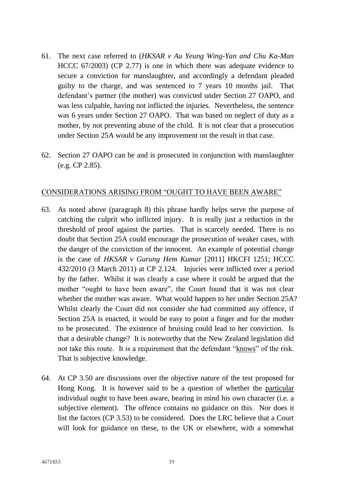- 61. The next case referred to (*HKSAR v Au Yeung Wing-Yan and Chu Ka-Man* HCCC 67/2003) (CP 2.77) is one in which there was adequate evidence to secure a conviction for manslaughter, and accordingly a defendant pleaded guilty to the charge, and was sentenced to 7 years 10 months jail. That defendant's partner (the mother) was convicted under Section 27 OAPO, and was less culpable, having not inflicted the injuries. Nevertheless, the sentence was 6 years under Section 27 OAPO. That was based on neglect of duty as a mother, by not preventing abuse of the child. It is not clear that a prosecution under Section 25A would be any improvement on the result in that case.
- 62. Section 27 OAPO can be and is prosecuted in conjunction with manslaughter (e.g. CP 2.85).

#### CONSIDERATIONS ARISING FROM "OUGHT TO HAVE BEEN AWARE"

- 63. As noted above (paragraph 8) this phrase hardly helps serve the purpose of catching the culprit who inflicted injury. It is really just a reduction in the threshold of proof against the parties. That is scarcely needed. There is no doubt that Section 25A could encourage the prosecution of weaker cases, with the danger of the conviction of the innocent. An example of potential change is the case of *HKSAR v Gurung Hem Kumar* [2011] HKCFI 1251; HCCC 432/2010 (3 March 2011) at CP 2.124. Injuries were inflicted over a period by the father. Whilst it was clearly a case where it could be argued that the mother "ought to have been aware", the Court found that it was not clear whether the mother was aware. What would happen to her under Section 25A? Whilst clearly the Court did not consider she had committed any offence, if Section 25A is enacted, it would be easy to point a finger and for the mother to be prosecuted. The existence of bruising could lead to her conviction. Is that a desirable change? It is noteworthy that the New Zealand legislation did not take this route. It is a requirement that the defendant "knows" of the risk. That is subjective knowledge.
- 64. At CP 3.50 are discussions over the objective nature of the test proposed for Hong Kong. It is however said to be a question of whether the particular individual ought to have been aware, bearing in mind his own character (i.e. a subjective element). The offence contains no guidance on this. Nor does it list the factors (CP 3.53) to be considered. Does the LRC believe that a Court will look for guidance on these, to the UK or elsewhere, with a somewhat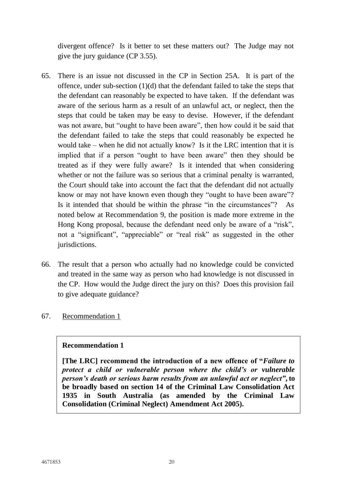divergent offence? Is it better to set these matters out? The Judge may not give the jury guidance (CP 3.55).

- 65. There is an issue not discussed in the CP in Section 25A. It is part of the offence, under sub-section (1)(d) that the defendant failed to take the steps that the defendant can reasonably be expected to have taken. If the defendant was aware of the serious harm as a result of an unlawful act, or neglect, then the steps that could be taken may be easy to devise. However, if the defendant was not aware, but "ought to have been aware", then how could it be said that the defendant failed to take the steps that could reasonably be expected he would take – when he did not actually know? Is it the LRC intention that it is implied that if a person "ought to have been aware" then they should be treated as if they were fully aware? Is it intended that when considering whether or not the failure was so serious that a criminal penalty is warranted, the Court should take into account the fact that the defendant did not actually know or may not have known even though they "ought to have been aware"? Is it intended that should be within the phrase "in the circumstances"? As noted below at Recommendation 9, the position is made more extreme in the Hong Kong proposal, because the defendant need only be aware of a "risk", not a "significant", "appreciable" or "real risk" as suggested in the other jurisdictions.
- 66. The result that a person who actually had no knowledge could be convicted and treated in the same way as person who had knowledge is not discussed in the CP. How would the Judge direct the jury on this? Does this provision fail to give adequate guidance?
- 67. Recommendation 1

### **Recommendation 1**

**[The LRC] recommend the introduction of a new offence of "***Failure to protect a child or vulnerable person where the child's or vulnerable person's death or serious harm results from an unlawful act or neglect"***, to be broadly based on section 14 of the Criminal Law Consolidation Act 1935 in South Australia (as amended by the Criminal Law Consolidation (Criminal Neglect) Amendment Act 2005).**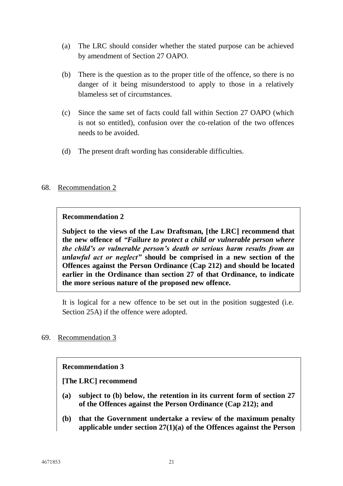- (a) The LRC should consider whether the stated purpose can be achieved by amendment of Section 27 OAPO.
- (b) There is the question as to the proper title of the offence, so there is no danger of it being misunderstood to apply to those in a relatively blameless set of circumstances.
- (c) Since the same set of facts could fall within Section 27 OAPO (which is not so entitled), confusion over the co-relation of the two offences needs to be avoided.
- (d) The present draft wording has considerable difficulties.

#### 68. Recommendation 2

#### **Recommendation 2**

**Subject to the views of the Law Draftsman, [the LRC] recommend that the new offence of** *"Failure to protect a child or vulnerable person where the child's or vulnerable person's death or serious harm results from an unlawful act or neglect"* **should be comprised in a new section of the Offences against the Person Ordinance (Cap 212) and should be located earlier in the Ordinance than section 27 of that Ordinance, to indicate the more serious nature of the proposed new offence.**

It is logical for a new offence to be set out in the position suggested (i.e. Section 25A) if the offence were adopted.

#### 69. Recommendation 3

### **Recommendation 3**

**[The LRC] recommend**

- **(a) subject to (b) below, the retention in its current form of section 27 of the Offences against the Person Ordinance (Cap 212); and**
- **(b) that the Government undertake a review of the maximum penalty applicable under section 27(1)(a) of the Offences against the Person**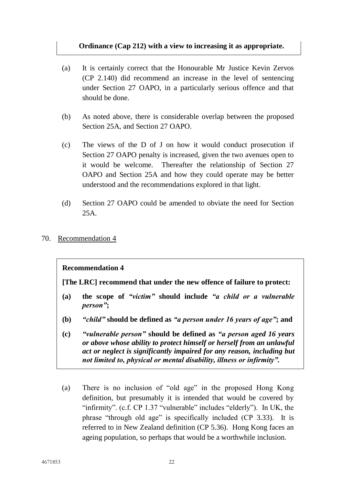### **Ordinance (Cap 212) with a view to increasing it as appropriate.**

- (a) It is certainly correct that the Honourable Mr Justice Kevin Zervos (CP 2.140) did recommend an increase in the level of sentencing under Section 27 OAPO, in a particularly serious offence and that should be done.
- (b) As noted above, there is considerable overlap between the proposed Section 25A, and Section 27 OAPO.
- (c) The views of the D of J on how it would conduct prosecution if Section 27 OAPO penalty is increased, given the two avenues open to it would be welcome. Thereafter the relationship of Section 27 OAPO and Section 25A and how they could operate may be better understood and the recommendations explored in that light.
- (d) Section 27 OAPO could be amended to obviate the need for Section 25A.
- 70. Recommendation 4

#### **Recommendation 4**

**[The LRC] recommend that under the new offence of failure to protect:** 

- **(a) the scope of** *"victim"* **should include** *"a child or a vulnerable person"***;**
- **(b)** *"child"* **should be defined as** *"a person under 16 years of age"***; and**
- **(c)** *"vulnerable person"* **should be defined as** *"a person aged 16 years or above whose ability to protect himself or herself from an unlawful act or neglect is significantly impaired for any reason, including but not limited to, physical or mental disability, illness or infirmity".*
- (a) There is no inclusion of "old age" in the proposed Hong Kong definition, but presumably it is intended that would be covered by "infirmity". (c.f. CP 1.37 "vulnerable" includes "elderly"). In UK, the phrase "through old age" is specifically included (CP 3.33). It is referred to in New Zealand definition (CP 5.36). Hong Kong faces an ageing population, so perhaps that would be a worthwhile inclusion.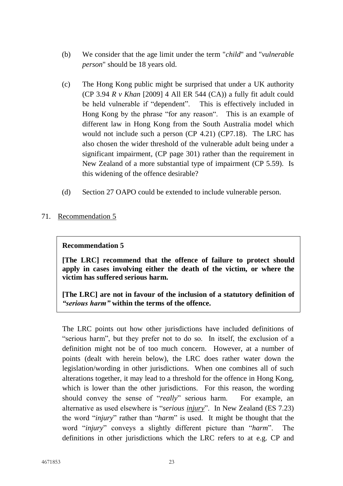- (b) We consider that the age limit under the term "*child*" and "*vulnerable person*" should be 18 years old.
- (c) The Hong Kong public might be surprised that under a UK authority (CP 3.94 *R v Khan* [2009] 4 All ER 544 (CA)) a fully fit adult could be held vulnerable if "dependent". This is effectively included in Hong Kong by the phrase "for any reason". This is an example of different law in Hong Kong from the South Australia model which would not include such a person (CP 4.21) (CP7.18). The LRC has also chosen the wider threshold of the vulnerable adult being under a significant impairment, (CP page 301) rather than the requirement in New Zealand of a more substantial type of impairment (CP 5.59). Is this widening of the offence desirable?
- (d) Section 27 OAPO could be extended to include vulnerable person.
- 71. Recommendation 5

### **Recommendation 5**

**[The LRC] recommend that the offence of failure to protect should apply in cases involving either the death of the victim, or where the victim has suffered serious harm.**

**[The LRC] are not in favour of the inclusion of a statutory definition of**  *"serious harm"* **within the terms of the offence.**

The LRC points out how other jurisdictions have included definitions of "serious harm", but they prefer not to do so. In itself, the exclusion of a definition might not be of too much concern. However, at a number of points (dealt with herein below), the LRC does rather water down the legislation/wording in other jurisdictions. When one combines all of such alterations together, it may lead to a threshold for the offence in Hong Kong, which is lower than the other jurisdictions. For this reason, the wording should convey the sense of "*really*" serious harm. For example, an alternative as used elsewhere is "*serious injury*". In New Zealand (ES 7.23) the word "*injury*" rather than "*harm*" is used. It might be thought that the word "*injury*" conveys a slightly different picture than "*harm*". The definitions in other jurisdictions which the LRC refers to at e.g. CP and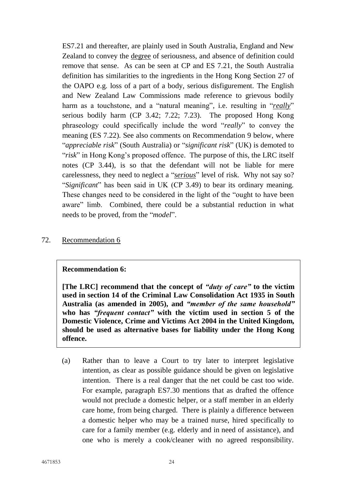ES7.21 and thereafter, are plainly used in South Australia, England and New Zealand to convey the degree of seriousness, and absence of definition could remove that sense. As can be seen at CP and ES 7.21, the South Australia definition has similarities to the ingredients in the Hong Kong Section 27 of the OAPO e.g. loss of a part of a body, serious disfigurement. The English and New Zealand Law Commissions made reference to grievous bodily harm as a touchstone, and a "natural meaning", i.e. resulting in "*really*" serious bodily harm (CP 3.42; 7.22; 7.23). The proposed Hong Kong phraseology could specifically include the word "*really*" to convey the meaning (ES 7.22). See also comments on Recommendation 9 below, where "*appreciable risk*" (South Australia) or "*significant risk*" (UK) is demoted to "*risk*" in Hong Kong's proposed offence. The purpose of this, the LRC itself notes (CP 3.44), is so that the defendant will not be liable for mere carelessness, they need to neglect a "*serious*" level of risk. Why not say so? "*Significant*" has been said in UK (CP 3.49) to bear its ordinary meaning. These changes need to be considered in the light of the "ought to have been aware" limb. Combined, there could be a substantial reduction in what needs to be proved, from the "*model*".

#### 72. Recommendation 6

#### **Recommendation 6:**

**[The LRC] recommend that the concept of** *"duty of care"* **to the victim used in section 14 of the Criminal Law Consolidation Act 1935 in South Australia (as amended in 2005), and** *"member of the same household"* **who has** *"frequent contact"* **with the victim used in section 5 of the Domestic Violence, Crime and Victims Act 2004 in the United Kingdom, should be used as alternative bases for liability under the Hong Kong offence.**

(a) Rather than to leave a Court to try later to interpret legislative intention, as clear as possible guidance should be given on legislative intention. There is a real danger that the net could be cast too wide. For example, paragraph ES7.30 mentions that as drafted the offence would not preclude a domestic helper, or a staff member in an elderly care home, from being charged. There is plainly a difference between a domestic helper who may be a trained nurse, hired specifically to care for a family member (e.g. elderly and in need of assistance), and one who is merely a cook/cleaner with no agreed responsibility.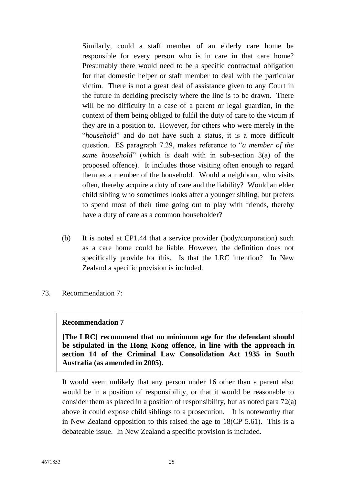Similarly, could a staff member of an elderly care home be responsible for every person who is in care in that care home? Presumably there would need to be a specific contractual obligation for that domestic helper or staff member to deal with the particular victim. There is not a great deal of assistance given to any Court in the future in deciding precisely where the line is to be drawn. There will be no difficulty in a case of a parent or legal guardian, in the context of them being obliged to fulfil the duty of care to the victim if they are in a position to. However, for others who were merely in the "*household*" and do not have such a status, it is a more difficult question. ES paragraph 7.29, makes reference to "*a member of the same household*" (which is dealt with in sub-section 3(a) of the proposed offence). It includes those visiting often enough to regard them as a member of the household. Would a neighbour, who visits often, thereby acquire a duty of care and the liability? Would an elder child sibling who sometimes looks after a younger sibling, but prefers to spend most of their time going out to play with friends, thereby have a duty of care as a common householder?

- (b) It is noted at CP1.44 that a service provider (body/corporation) such as a care home could be liable. However, the definition does not specifically provide for this. Is that the LRC intention? In New Zealand a specific provision is included.
- 73. Recommendation 7:

#### **Recommendation 7**

**[The LRC] recommend that no minimum age for the defendant should be stipulated in the Hong Kong offence, in line with the approach in section 14 of the Criminal Law Consolidation Act 1935 in South Australia (as amended in 2005).**

It would seem unlikely that any person under 16 other than a parent also would be in a position of responsibility, or that it would be reasonable to consider them as placed in a position of responsibility, but as noted para 72(a) above it could expose child siblings to a prosecution. It is noteworthy that in New Zealand opposition to this raised the age to 18(CP 5.61). This is a debateable issue. In New Zealand a specific provision is included.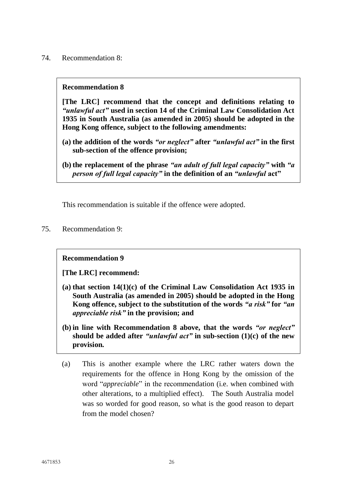74. Recommendation 8:

#### **Recommendation 8**

**[The LRC] recommend that the concept and definitions relating to**  *"unlawful act"* **used in section 14 of the Criminal Law Consolidation Act 1935 in South Australia (as amended in 2005) should be adopted in the Hong Kong offence, subject to the following amendments:**

- **(a) the addition of the words** *"or neglect"* **after** *"unlawful act"* **in the first sub-section of the offence provision;**
- **(b) the replacement of the phrase** *"an adult of full legal capacity"* **with** *"a person of full legal capacity"* **in the definition of an** *"unlawful* **act"**

This recommendation is suitable if the offence were adopted.

75. Recommendation 9:

### **Recommendation 9**

**[The LRC] recommend:**

- **(a) that section 14(1)(c) of the Criminal Law Consolidation Act 1935 in South Australia (as amended in 2005) should be adopted in the Hong Kong offence, subject to the substitution of the words** *"a risk"* **for** *"an appreciable risk"* **in the provision; and**
- **(b) in line with Recommendation 8 above, that the words** *"or neglect"* **should be added after** *"unlawful act"* **in sub-section (1)(c) of the new provision.**
- (a) This is another example where the LRC rather waters down the requirements for the offence in Hong Kong by the omission of the word "*appreciable*" in the recommendation (i.e. when combined with other alterations, to a multiplied effect). The South Australia model was so worded for good reason, so what is the good reason to depart from the model chosen?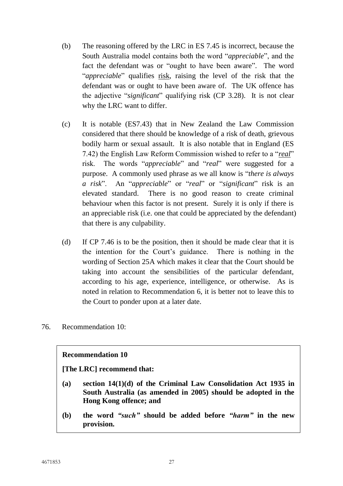- (b) The reasoning offered by the LRC in ES 7.45 is incorrect, because the South Australia model contains both the word "*appreciable*", and the fact the defendant was or "ought to have been aware". The word "*appreciable*" qualifies risk, raising the level of the risk that the defendant was or ought to have been aware of. The UK offence has the adjective "*significant*" qualifying risk (CP 3.28). It is not clear why the LRC want to differ.
- (c) It is notable (ES7.43) that in New Zealand the Law Commission considered that there should be knowledge of a risk of death, grievous bodily harm or sexual assault. It is also notable that in England (ES 7.42) the English Law Reform Commission wished to refer to a "*real*" risk. The words "*appreciable*" and "*real*" were suggested for a purpose. A commonly used phrase as we all know is "*there is always a risk*". An "*appreciable*" or "*real*" or "*significant*" risk is an elevated standard. There is no good reason to create criminal behaviour when this factor is not present. Surely it is only if there is an appreciable risk (i.e. one that could be appreciated by the defendant) that there is any culpability.
- (d) If CP 7.46 is to be the position, then it should be made clear that it is the intention for the Court's guidance. There is nothing in the wording of Section 25A which makes it clear that the Court should be taking into account the sensibilities of the particular defendant, according to his age, experience, intelligence, or otherwise. As is noted in relation to Recommendation 6, it is better not to leave this to the Court to ponder upon at a later date.
- 76. Recommendation 10:

#### **Recommendation 10**

**[The LRC] recommend that:**

- **(a) section 14(1)(d) of the Criminal Law Consolidation Act 1935 in South Australia (as amended in 2005) should be adopted in the Hong Kong offence; and**
- **(b) the word** *"such"* **should be added before** *"harm"* **in the new provision.**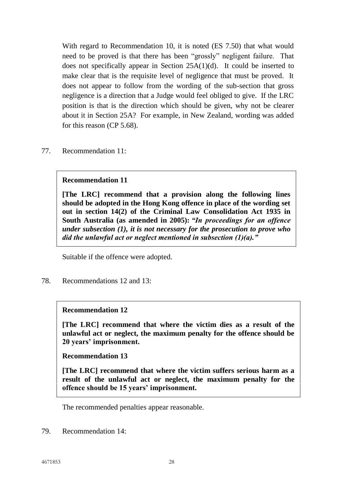With regard to Recommendation 10, it is noted (ES 7.50) that what would need to be proved is that there has been "grossly" negligent failure. That does not specifically appear in Section 25A(1)(d). It could be inserted to make clear that is the requisite level of negligence that must be proved. It does not appear to follow from the wording of the sub-section that gross negligence is a direction that a Judge would feel obliged to give. If the LRC position is that is the direction which should be given, why not be clearer about it in Section 25A? For example, in New Zealand, wording was added for this reason (CP 5.68).

77. Recommendation 11:

#### **Recommendation 11**

**[The LRC] recommend that a provision along the following lines should be adopted in the Hong Kong offence in place of the wording set out in section 14(2) of the Criminal Law Consolidation Act 1935 in South Australia (as amended in 2005):** *"In proceedings for an offence under subsection (1), it is not necessary for the prosecution to prove who did the unlawful act or neglect mentioned in subsection (1)(a)."*

Suitable if the offence were adopted.

78. Recommendations 12 and 13:

### **Recommendation 12**

**[The LRC] recommend that where the victim dies as a result of the unlawful act or neglect, the maximum penalty for the offence should be 20 years' imprisonment.**

**Recommendation 13**

**[The LRC] recommend that where the victim suffers serious harm as a result of the unlawful act or neglect, the maximum penalty for the offence should be 15 years' imprisonment.**

The recommended penalties appear reasonable.

79. Recommendation 14: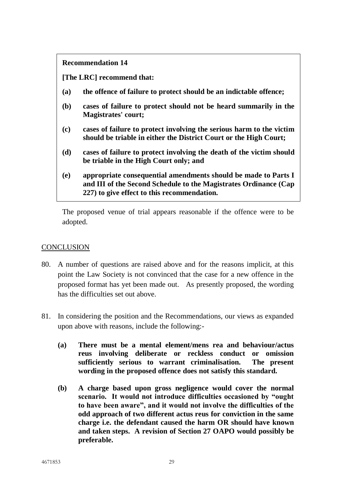#### **Recommendation 14**

**[The LRC] recommend that:**

- **(a) the offence of failure to protect should be an indictable offence;**
- **(b) cases of failure to protect should not be heard summarily in the Magistrates' court;**
- **(c) cases of failure to protect involving the serious harm to the victim should be triable in either the District Court or the High Court;**
- **(d) cases of failure to protect involving the death of the victim should be triable in the High Court only; and**
- **(e) appropriate consequential amendments should be made to Parts I and III of the Second Schedule to the Magistrates Ordinance (Cap 227) to give effect to this recommendation.**

The proposed venue of trial appears reasonable if the offence were to be adopted.

## **CONCLUSION**

- 80. A number of questions are raised above and for the reasons implicit, at this point the Law Society is not convinced that the case for a new offence in the proposed format has yet been made out. As presently proposed, the wording has the difficulties set out above.
- 81. In considering the position and the Recommendations, our views as expanded upon above with reasons, include the following:-
	- **(a) There must be a mental element/mens rea and behaviour/actus reus involving deliberate or reckless conduct or omission sufficiently serious to warrant criminalisation. The present wording in the proposed offence does not satisfy this standard.**
	- **(b) A charge based upon gross negligence would cover the normal scenario. It would not introduce difficulties occasioned by "ought to have been aware", and it would not involve the difficulties of the odd approach of two different actus reus for conviction in the same charge i.e. the defendant caused the harm OR should have known and taken steps. A revision of Section 27 OAPO would possibly be preferable.**